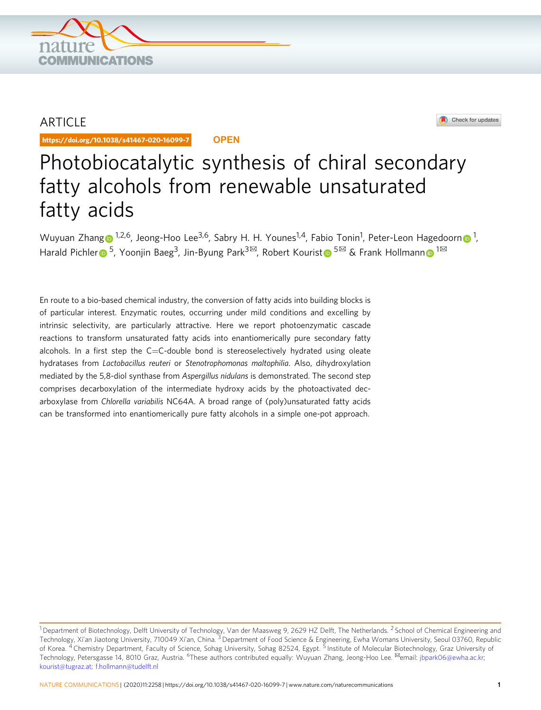

## ARTICLE

https://doi.org/10.1038/s41467-020-16099-7 **OPEN**

## Check for updates

# Photobiocatalytic synthesis of chiral secondary fatty alcohols from renewable unsaturated fatty acids

Wuyuan Zhan[g](http://orcid.org/0000-0002-3182-5107) [n](http://orcid.org/0000-0001-6342-2022)<sup>1,2,6</sup>, Jeong-Hoo Lee<sup>3,6</sup>, Sabry H. H. Younes<sup>1,4</sup>, Fabio Tonin<sup>1</sup>, Peter-Leon Hagedoorn n<sup>1</sup>, Ha[r](http://orcid.org/0000-0001-6043-2137)ald Pichler  $\bullet$  $\bullet$  <sup>[5](http://orcid.org/0000-0002-2853-3525)</sup>, Yoo[n](http://orcid.org/0000-0003-4821-756X)jin Baeg<sup>3</sup>, Jin-Byung Park<sup>3⊠</sup>, Robert Kourist  $\bullet$  <sup>5⊠</sup> & Frank Hollmann  $\bullet$  <sup>1⊠</sup>

En route to a bio-based chemical industry, the conversion of fatty acids into building blocks is of particular interest. Enzymatic routes, occurring under mild conditions and excelling by intrinsic selectivity, are particularly attractive. Here we report photoenzymatic cascade reactions to transform unsaturated fatty acids into enantiomerically pure secondary fatty alcohols. In a first step the C=C-double bond is stereoselectively hydrated using oleate hydratases from Lactobacillus reuteri or Stenotrophomonas maltophilia. Also, dihydroxylation mediated by the 5,8-diol synthase from Aspergillus nidulans is demonstrated. The second step comprises decarboxylation of the intermediate hydroxy acids by the photoactivated decarboxylase from Chlorella variabilis NC64A. A broad range of (poly)unsaturated fatty acids can be transformed into enantiomerically pure fatty alcohols in a simple one-pot approach.

<sup>&</sup>lt;sup>1</sup> Department of Biotechnology, Delft University of Technology, Van der Maasweg 9, 2629 HZ Delft, The Netherlands. <sup>2</sup> School of Chemical Engineering and Technology, Xi'an Jiaotong University, 710049 Xi'an, China. <sup>3</sup> Department of Food Science & Engineering, Ewha Womans University, Seoul 03760, Republic of Korea. <sup>4</sup> Chemistry Department, Faculty of Science, Sohag University, Sohag 82524, Egypt. <sup>5</sup> Institute of Molecular Biotechnology, Graz University of Technology, Petersgasse 14, 8010 Graz, Austria. <sup>6</sup>These authors contributed equally: Wuyuan Zhang, Jeong-Hoo Lee. <sup>⊠</sup>email: [jbpark06@ewha.ac.kr;](mailto:jbpark06@ewha.ac.kr) [kourist@tugraz.at;](mailto:kourist@tugraz.at) [f.hollmann@tudelft.nl](mailto:f.hollmann@tudelft.nl)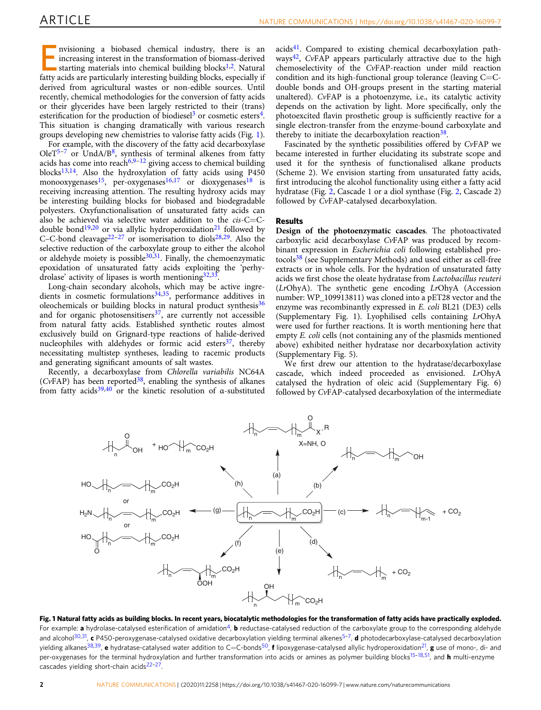Envisioning a biobased chemical industry, there is an increasing interest in the transformation of biomass-derived starting materials into chemical building blocks<sup>1,[2](#page-6-0)</sup>. Natural fatty acids are particularly interesting building blocks, especially if derived from agricultural wastes or non-edible sources. Until recently, chemical methodologies for the conversion of fatty acids or their glycerides have been largely restricted to their (trans) esterification for the production of biodiesel<sup>[3](#page-6-0)</sup> or cosmetic esters<sup>4</sup>. This situation is changing dramatically with various research groups developing new chemistries to valorise fatty acids (Fig. 1).

For example, with the discovery of the fatty acid decarboxylase OleT<sup>[5](#page-6-0)-[7](#page-6-0)</sup> or UndA/B<sup>[8](#page-6-0)</sup>, synthesis of terminal alkenes from fatty acids has come into reach<sup>[6,9](#page-6-0)–[12](#page-6-0)</sup> giving access to chemical building blocks $13,14$ . Also the hydroxylation of fatty acids using P450 monooxygenases<sup>[15](#page-6-0)</sup>, per-oxygenases<sup>16,17</sup> or dioxygenases<sup>[18](#page-7-0)</sup> is receiving increasing attention. The resulting hydroxy acids may be interesting building blocks for biobased and biodegradable polyesters. Oxyfunctionalisation of unsaturated fatty acids can also be achieved via selective water addition to the cis-C=C-double bond<sup>19,20</sup> or via allylic hydroperoxidation<sup>[21](#page-7-0)</sup> followed by C–C-bond cleavage<sup>[22](#page-7-0)–[27](#page-7-0)</sup> or isomerisation to diols<sup>[28](#page-7-0),[29](#page-7-0)</sup>. Also the selective reduction of the carboxylate group to either the alcohol or aldehyde moiety is possible $30,31$ . Finally, the chemoenzymatic epoxidation of unsaturated fatty acids exploiting the 'perhydrolase' activity of lipases is worth mentioning 32,33.

Long-chain secondary alcohols, which may be active ingredients in cosmetic formulations $34,35$  $34,35$  $34,35$ , performance additives in oleochemicals or building blocks in natural product synthesis<sup>[36](#page-7-0)</sup> and for organic photosensitisers $37$ , are currently not accessible from natural fatty acids. Established synthetic routes almost exclusively build on Grignard-type reactions of halide-derived nucleophiles with aldehydes or formic acid esters $37$ , thereby necessitating multistep syntheses, leading to racemic products and generating significant amounts of salt wastes.

Recently, a decarboxylase from Chlorella variabilis NC64A (CvFAP) has been reported<sup>38</sup>, enabling the synthesis of alkanes from fatty acids<sup>[39,40](#page-7-0)</sup> or the kinetic resolution of  $\alpha$ -substituted acids[41.](#page-7-0) Compared to existing chemical decarboxylation path-ways<sup>[42](#page-7-0)</sup>, CvFAP appears particularly attractive due to the high chemoselectivity of the CvFAP-reaction under mild reaction condition and its high-functional group tolerance (leaving C=Cdouble bonds and OH-groups present in the starting material unaltered). CvFAP is a photoenzyme, i.e., its catalytic activity depends on the activation by light. More specifically, only the photoexcited flavin prosthetic group is sufficiently reactive for a single electron-transfer from the enzyme-bound carboxylate and thereby to initiate the decarboxylation reaction<sup>38</sup>.

Fascinated by the synthetic possibilities offered by CvFAP we became interested in further elucidating its substrate scope and used it for the synthesis of functionalised alkane products (Scheme 2). We envision starting from unsaturated fatty acids, first introducing the alcohol functionality using either a fatty acid hydratase (Fig. [2,](#page-2-0) Cascade 1 or a diol synthase (Fig. [2,](#page-2-0) Cascade 2) followed by CvFAP-catalysed decarboxylation.

#### Results

Design of the photoenzymatic cascades. The photoactivated carboxylic acid decarboxylase CvFAP was produced by recombinant expression in Escherichia coli following established pro-tocols<sup>[38](#page-7-0)</sup> (see Supplementary Methods) and used either as cell-free extracts or in whole cells. For the hydration of unsaturated fatty acids we first chose the oleate hydratase from Lactobacillus reuteri  $(LrOhyA)$ . The synthetic gene encoding  $LrOhyA$  (Accession number: WP\_109913811) was cloned into a pET28 vector and the enzyme was recombinantly expressed in E. coli BL21 (DE3) cells (Supplementary Fig. 1). Lyophilised cells containing LrOhyA were used for further reactions. It is worth mentioning here that empty E. coli cells (not containing any of the plasmids mentioned above) exhibited neither hydratase nor decarboxylation activity (Supplementary Fig. 5).

We first drew our attention to the hydratase/decarboxylase cascade, which indeed proceeded as envisioned. LrOhyA catalysed the hydration of oleic acid (Supplementary Fig. 6) followed by CvFAP-catalysed decarboxylation of the intermediate



Fig. 1 Natural fatty acids as building blocks. In recent years, biocatalytic methodologies for the transformation of fatty acids have practically exploded. For example: a hydrolase-catalysed esterification of amidation<sup>[4](#page-6-0)</sup>, **b** reductase-catalysed reduction of the carboxylate group to the corresponding aldehyde and alcohol<sup>30,31</sup>, c P4[5](#page-6-0)0-peroxygenase-catalysed oxidative decarboxylation yielding terminal alkenes<sup>5-[7](#page-6-0)</sup>, d photodecarboxylase-catalysed decarboxylation yielding alkanes<sup>[38,39](#page-7-0)</sup>, e hydratase-catalysed water addition to C=C-bonds<sup>50</sup>, f lipoxygenase-catalysed allylic hydroperoxidation<sup>21</sup>, g use of mono-, di- and per-oxygenases for the terminal hydroxylation and further transformation into acids or amines as polymer building blocks<sup>[15](#page-6-0)-[18,51](#page-7-0)</sup>, and **h** multi-enzyme cascades yielding short-chain acids<sup>22-27</sup>.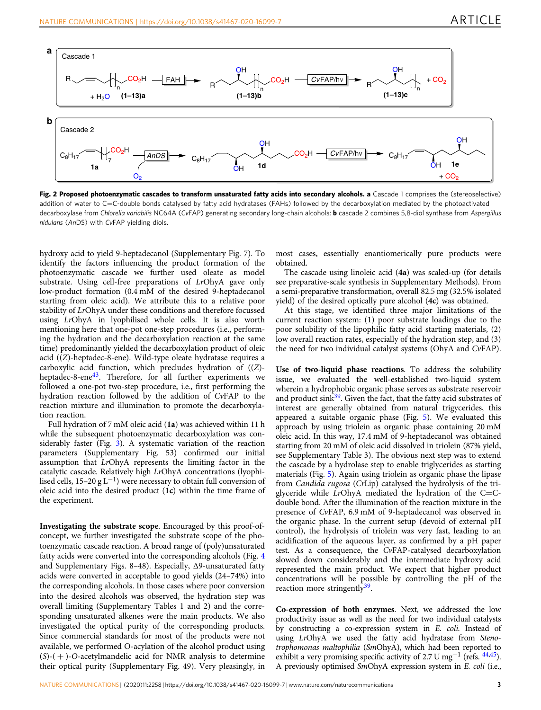<span id="page-2-0"></span>

Fig. 2 Proposed photoenzymatic cascades to transform unsaturated fatty acids into secondary alcohols. a Cascade 1 comprises the (stereoselective) addition of water to C=C-double bonds catalysed by fatty acid hydratases (FAHs) followed by the decarboxylation mediated by the photoactivated decarboxylase from Chlorella variabilis NC64A (CvFAP) generating secondary long-chain alcohols; **b** cascade 2 combines 5,8-diol synthase from Aspergillus nidulans (AnDS) with CvFAP yielding diols.

hydroxy acid to yield 9-heptadecanol (Supplementary Fig. 7). To identify the factors influencing the product formation of the photoenzymatic cascade we further used oleate as model substrate. Using cell-free preparations of LrOhyA gave only low-product formation (0.4 mM of the desired 9-heptadecanol starting from oleic acid). We attribute this to a relative poor stability of LrOhyA under these conditions and therefore focussed using LrOhyA in lyophilised whole cells. It is also worth mentioning here that one-pot one-step procedures (i.e., performing the hydration and the decarboxylation reaction at the same time) predominantly yielded the decarboxylation product of oleic acid ((Z)-heptadec-8-ene). Wild-type oleate hydratase requires a carboxylic acid function, which precludes hydration of ((Z) heptadec-8-ene $43$ . Therefore, for all further experiments we followed a one-pot two-step procedure, i.e., first performing the hydration reaction followed by the addition of CvFAP to the reaction mixture and illumination to promote the decarboxylation reaction.

Full hydration of 7 mM oleic acid (1a) was achieved within 11 h while the subsequent photoenzymatic decarboxylation was considerably faster (Fig. [3\)](#page-3-0). A systematic variation of the reaction parameters (Supplementary Fig. 53) confirmed our initial assumption that LrOhyA represents the limiting factor in the catalytic cascade. Relatively high LrOhyA concentrations (lyophilised cells, 15–20 g L<sup>-1</sup>) were necessary to obtain full conversion of oleic acid into the desired product (1c) within the time frame of the experiment.

Investigating the substrate scope. Encouraged by this proof-ofconcept, we further investigated the substrate scope of the photoenzymatic cascade reaction. A broad range of (poly)unsaturated fatty acids were converted into the corresponding alcohols (Fig. [4](#page-4-0) and Supplementary Figs. 8–48). Especially, Δ9-unsaturated fatty acids were converted in acceptable to good yields (24–74%) into the corresponding alcohols. In those cases where poor conversion into the desired alcohols was observed, the hydration step was overall limiting (Supplementary Tables 1 and 2) and the corresponding unsaturated alkenes were the main products. We also investigated the optical purity of the corresponding products. Since commercial standards for most of the products were not available, we performed O-acylation of the alcohol product using  $(S)-(+)$ -O-acetylmandelic acid for NMR analysis to determine their optical purity (Supplementary Fig. 49). Very pleasingly, in

most cases, essentially enantiomerically pure products were obtained.

The cascade using linoleic acid (4a) was scaled-up (for details see preparative-scale synthesis in Supplementary Methods). From a semi-preparative transformation, overall 82.5 mg (32.5% isolated yield) of the desired optically pure alcohol (4c) was obtained.

At this stage, we identified three major limitations of the current reaction system: (1) poor substrate loadings due to the poor solubility of the lipophilic fatty acid starting materials, (2) low overall reaction rates, especially of the hydration step, and (3) the need for two individual catalyst systems (OhyA and CvFAP).

Use of two-liquid phase reactions. To address the solubility issue, we evaluated the well-established two-liquid system wherein a hydrophobic organic phase serves as substrate reservoir and product sink $39$ . Given the fact, that the fatty acid substrates of interest are generally obtained from natural trigycerides, this appeared a suitable organic phase (Fig. [5\)](#page-5-0). We evaluated this approach by using triolein as organic phase containing 20 mM oleic acid. In this way, 17.4 mM of 9-heptadecanol was obtained starting from 20 mM of oleic acid dissolved in triolein (87% yield, see Supplementary Table 3). The obvious next step was to extend the cascade by a hydrolase step to enable triglycerides as starting materials (Fig. [5\)](#page-5-0). Again using triolein as organic phase the lipase from Candida rugosa (CrLip) catalysed the hydrolysis of the triglyceride while  $Lr$ OhyA mediated the hydration of the C=Cdouble bond. After the illumination of the reaction mixture in the presence of CvFAP, 6.9 mM of 9-heptadecanol was observed in the organic phase. In the current setup (devoid of external pH control), the hydrolysis of triolein was very fast, leading to an acidification of the aqueous layer, as confirmed by a pH paper test. As a consequence, the CvFAP-catalysed decarboxylation slowed down considerably and the intermediate hydroxy acid represented the main product. We expect that higher product concentrations will be possible by controlling the pH of the reaction more stringently $39$ .

Co-expression of both enzymes. Next, we addressed the low productivity issue as well as the need for two individual catalysts by constructing a co-expression system in E. coli. Instead of using LrOhyA we used the fatty acid hydratase from Stenotrophomonas maltophilia (SmOhyA), which had been reported to exhibit a very promising specific activity of 2.7 U mg<sup>-1</sup> (refs.  $44,45$ ). A previously optimised SmOhyA expression system in E. coli (i.e.,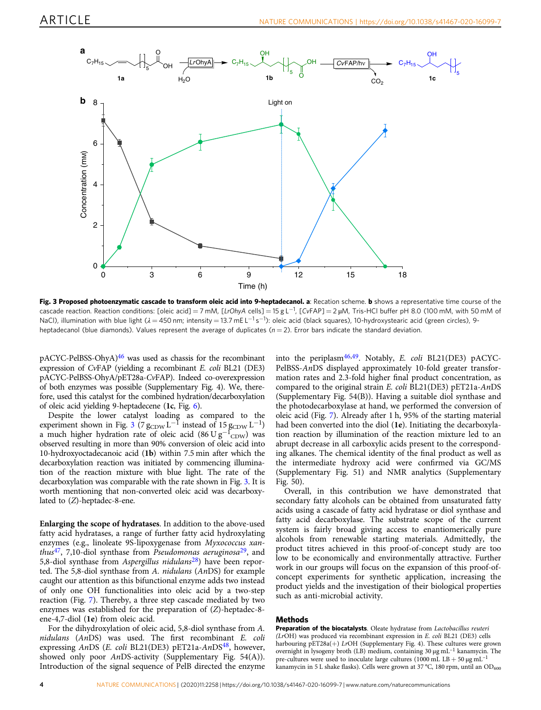<span id="page-3-0"></span>![](_page_3_Figure_2.jpeg)

Fig. 3 Proposed photoenzymatic cascade to transform oleic acid into 9-heptadecanol. a: Recation scheme. b shows a representative time course of the cascade reaction. Reaction conditions: [oleic acid] = 7 mM, [LrOhyA cells] = 15 g L $^{-1}$ , [CvFAP] = 2 µM, Tris-HCl buffer pH 8.0 (100 mM, with 50 mM of NaCl), illumination with blue light (λ = 450 nm; intensity = 13.7 mE L<sup>−1</sup> s<sup>−1</sup>): oleic acid (black squares), 10-hydroxystearic acid (green circles), 9heptadecanol (blue diamonds). Values represent the average of duplicates ( $n = 2$ ). Error bars indicate the standard deviation.

 $p$ ACYC-PelBSS-OhyA $)$ <sup>[46](#page-7-0)</sup> was used as chassis for the recombinant expression of CvFAP (yielding a recombinant E. coli BL21 (DE3) pACYC-PelBSS-OhyA/pET28a-CvFAP). Indeed co-overexpression of both enzymes was possible (Supplementary Fig. 4). We, therefore, used this catalyst for the combined hydration/decarboxylation of oleic acid yielding 9-heptadecene  $(1c, Fig. 6)$  $(1c, Fig. 6)$  $(1c, Fig. 6)$ .

Despite the lower catalyst loading as compared to the experiment shown in Fig. 3 (7  $g_{CDW}$  L<sup>-1</sup> instead of 15  $g_{CDW}$  L<sup>-1</sup>) a much higher hydration rate of oleic acid (86 U  $g^{-1}$ <sub>CDW</sub>) was observed resulting in more than 90% conversion of oleic acid into 10-hydroxyoctadecanoic acid (1b) within 7.5 min after which the decarboxylation reaction was initiated by commencing illumination of the reaction mixture with blue light. The rate of the decarboxylation was comparable with the rate shown in Fig. 3. It is worth mentioning that non-converted oleic acid was decarboxylated to (Z)-heptadec-8-ene.

Enlarging the scope of hydratases. In addition to the above-used fatty acid hydratases, a range of further fatty acid hydroxylating enzymes (e.g., linoleate 9S-lipoxygenase from Myxococcus xanthus<sup>47</sup>, 7,10-diol synthase from Pseudomonas aeruginosa<sup>29</sup>, and 5,8-diol synthase from Aspergillus nidulans<sup>[28](#page-7-0)</sup>) have been reported. The 5,8-diol synthase from A. nidulans (AnDS) for example caught our attention as this bifunctional enzyme adds two instead of only one OH functionalities into oleic acid by a two-step reaction (Fig. [7](#page-6-0)). Thereby, a three step cascade mediated by two enzymes was established for the preparation of (Z)-heptadec-8 ene-4,7-diol (1e) from oleic acid.

For the dihydroxylation of oleic acid, 5,8-diol synthase from A. nidulans (AnDS) was used. The first recombinant E. coli expressing AnDS (E. coli BL21(DE3) pET21a-AnDS<sup>[48](#page-7-0)</sup>, however, showed only poor AnDS-activity (Supplementary Fig. 54(A)). Introduction of the signal sequence of PelB directed the enzyme into the periplasm<sup>46,49</sup>. Notably, E. coli BL21(DE3) pACYC-PelBSS-AnDS displayed approximately 10-fold greater transformation rates and 2.3-fold higher final product concentration, as compared to the original strain  $E$ . *coli* BL21(DE3) pET21a- $AnDS$ (Supplementary Fig. 54(B)). Having a suitable diol synthase and the photodecarboxylase at hand, we performed the conversion of oleic acid (Fig. [7](#page-6-0)). Already after 1 h, 95% of the starting material had been converted into the diol (1e). Initiating the decarboxylation reaction by illumination of the reaction mixture led to an abrupt decrease in all carboxylic acids present to the corresponding alkanes. The chemical identity of the final product as well as the intermediate hydroxy acid were confirmed via GC/MS (Supplementary Fig. 51) and NMR analytics (Supplementary Fig. 50).

Overall, in this contribution we have demonstrated that secondary fatty alcohols can be obtained from unsaturated fatty acids using a cascade of fatty acid hydratase or diol synthase and fatty acid decarboxylase. The substrate scope of the current system is fairly broad giving access to enantiomerically pure alcohols from renewable starting materials. Admittedly, the product titres achieved in this proof-of-concept study are too low to be economically and environmentally attractive. Further work in our groups will focus on the expansion of this proof-ofconcept experiments for synthetic application, increasing the product yields and the investigation of their biological properties such as anti-microbial activity.

#### Methods

Preparation of the biocatalysts. Oleate hydratase from Lactobacillus reuteri (LrOH) was produced via recombinant expression in E. coli BL21 (DE3) cells harbouring pET28a(+) LrOH (Supplementary Fig. 4). These cultures were grown overnight in lysogeny broth (LB) medium, containing 30 μg mL–<sup>1</sup> kanamycin. The pre-cultures were used to inoculate large cultures (1000 mL  $LB + 50 \mu g \, \text{mL}^{-1}$ kanamycin in 5 L shake flasks). Cells were grown at 37 °C, 180 rpm, until an  $OD_{600}$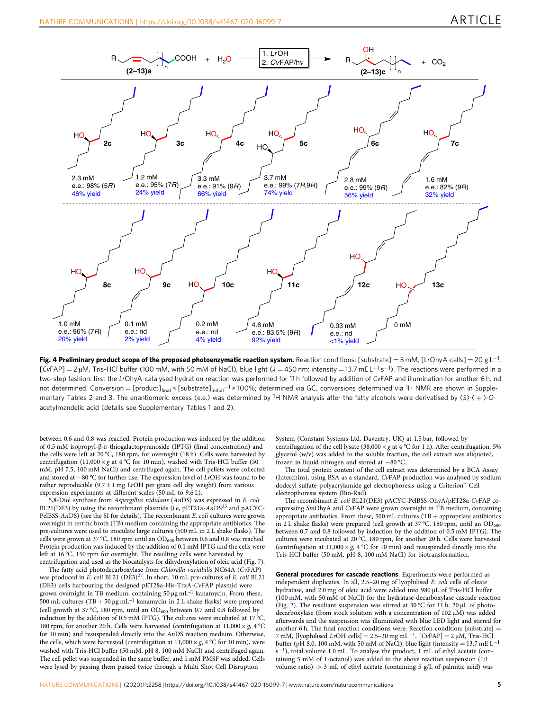<span id="page-4-0"></span>![](_page_4_Figure_2.jpeg)

Fig. 4 Preliminary product scope of the proposed photoenzymatic reaction system. Reaction conditions: [substrate] = 5 mM, [LrOhyA-cells] = 20 g L<sup>−1</sup>, [CvFAP] = 2 μM, Tris-HCl buffer (100 mM, with 50 mM of NaCl), blue light (λ = 450 nm; intensity = 13.7 mE L<sup>−1</sup> s<sup>−1</sup>). The reactions were performed in a two-step fashion: first the LrOhyA-catalysed hydration reaction was performed for 11 h followed by addition of CvFAP and illumination for another 6 h. nd not determined. Conversion=[product]<sub>final</sub>×[substrate]<sub>initial</sub>−1×100%; determined via GC, conversions determined via <sup>1</sup>H NMR are shown in Supplementary Tables 2 and 3. The enantiomeric excess (e.e.) was determined by <sup>1</sup>H NMR analysis after the fatty alcohols were derivatised by (S)-(+)-Oacetylmandelic acid (details see Supplementary Tables 1 and 2).

between 0.6 and 0.8 was reached. Protein production was induced by the addition of 0.5 mM isopropyl-β-D-thiogalactopyranoside (IPTG) (final concentration) and the cells were left at 20 °C, 180 rpm, for overnight (18 h). Cells were harvested by centrifugation  $(11{,}000 \times g$  at  $4\,^{\rm o}\textrm{C}$  for 10 min), washed with Tris-HCl buffer (50 mM, pH 7.5, 100 mM NaCl) and centrifuged again. The cell pellets were collected and stored at −80 °C for further use. The expression level of LrOH was found to be rather reproducible (9.7  $\pm$  1 mg *LrOH* per gram cell dry weight) from various expression experiments at different scales (50 mL to 9.6 L).

5,8-Diol synthase from Aspergillus nidulans (AnDS) was expressed in E. coli BL21(DE3) by using the recombinant plasmids (i.e, pET21a-AnDS<sup>[33](#page-7-0)</sup> and pACYC-PelBSS-AnDS) (see the SI for details). The recombinant E. coli cultures were grown overnight in terrific broth (TB) medium containing the appropriate antibiotics. The pre-cultures were used to inoculate large cultures (500 mL in 2 L shake flasks). The cells were grown at 37 °C, 180 rpm until an  $OD_{600}$  between 0.6 and 0.8 was reached. Protein production was induced by the addition of 0.1 mM IPTG and the cells were left at 16 °C, 150 rpm for overnight. The resulting cells were harvested by centrifugation and used as the biocatalysts for dihydroxylation of oleic acid (Fig. [7](#page-6-0)).

The fatty acid photodecarboxylase from Chlorella variabilis NC64A (CvFAP) was produced in  $\vec{E}$ . coli BL21 (DE3)<sup>[27](#page-7-0)</sup>. In short, 10 mL pre-cultures of  $\vec{E}$ . coli BL21 (DE3) cells harbouring the designed pET28a-His-TrxA-CvFAP plasmid were grown overnight in TB medium, containing 50 μg mL<sup>-1</sup> kanamycin. From these, 500 mL cultures (TB + 50 μg mL–<sup>1</sup> kanamycin in 2 L shake flasks) were prepared (cell growth at 37 °C, 180 rpm, until an  $OD_{600}$  between 0.7 and 0.8 followed by induction by the addition of 0.5 mM IPTG). The cultures were incubated at 17 °C, 180 rpm, for another 20 h. Cells were harvested (centrifugation at  $11,000 \times g$ , 4 °C for 10 min) and resuspended directly into the AnDS reaction medium. Otherwise, the cells, which were harvested (centrifugation at  $11,000 \times g$ , 4 °C for 10 min), were washed with Tris-HCl buffer (50 mM, pH 8, 100 mM NaCl) and centrifuged again. The cell pellet was suspended in the same buffer, and 1 mM PMSF was added. Cells were lysed by passing them passed twice through a Multi Shot Cell Disruption

System (Constant Systems Ltd, Daventry, UK) at 1.5 bar, followed by centrifugation of the cell lysate (38,000  $\times$  g at 4 °C for 1 h). After centrifugation, 5% glycerol (w/v) was added to the soluble fraction, the cell extract was aliquoted, frozen in liquid nitrogen and stored at −80 °C.

The total protein content of the cell extract was determined by a BCA Assay (Interchim), using BSA as a standard. CvFAP production was analysed by sodium dodecyl sulfate–polyacrylamide gel electrophoresis using a Criterion™ Cell electrophoresis system (Bio-Rad).

The recombinant E. coli BL21(DE3) pACYC-PelBSS-OhyA/pET28a-CvFAP coexpressing SmOhyA and CvFAP were grown overnight in TB medium, containing appropriate antibiotics. From these, 500 mL cultures (TB + appropriate antibiotics in 2 L shake flasks) were prepared (cell growth at 37 °C, 180 rpm, until an  $OD_{600}$ between 0.7 and 0.8 followed by induction by the addition of 0.5 mM IPTG). The cultures were incubated at 20 °C, 180 rpm, for another 20 h. Cells were harvested (centrifugation at 11,000  $\times g$ , 4 °C for 10 min) and resuspended directly into the Tris-HCl buffer (50 mM, pH 8, 100 mM NaCl) for biotransformation.

General procedures for cascade reactions. Experiments were performed as independent duplicates. In all, 2.5–20 mg of lyophilised E. coli cells of oleate hydratase, and 2.0 mg of oleic acid were added into 980 µL of Tris-HCl buffer (100 mM, with 50 mM of NaCl) for the hydratase-decarboxylase cascade reaction (Fig. [2](#page-2-0)). The resultant suspension was stirred at 30 °C for 11 h. 20 µL of photodecarboxylase (from stock solution with a concentration of 102 µM) was added afterwards and the suspension was illuminated with blue LED light and stirred for another 6 h. The final reaction conditions were: Reaction condition: [substrate] = 7 mM, [lyophilised LrOH cells] = 2.5–20 mg mL<sup>−</sup>1, [CvFAP] = 2 µM, Tris-HCl buffer (pH 8.0, 100 mM, with 50 mM of NaCl), blue light (intensity = 13.7 mE  $L^{-1}$ s<sup>−</sup>1), total volume 1.0 mL. To analyse the product, 1 mL of ethyl acetate (containing 5 mM of 1-octanol) was added to the above reaction suspension (1:1 volume ratio)  $\rightarrow$  3 mL of ethyl acetate (containing 5 g/L of palmitic acid) was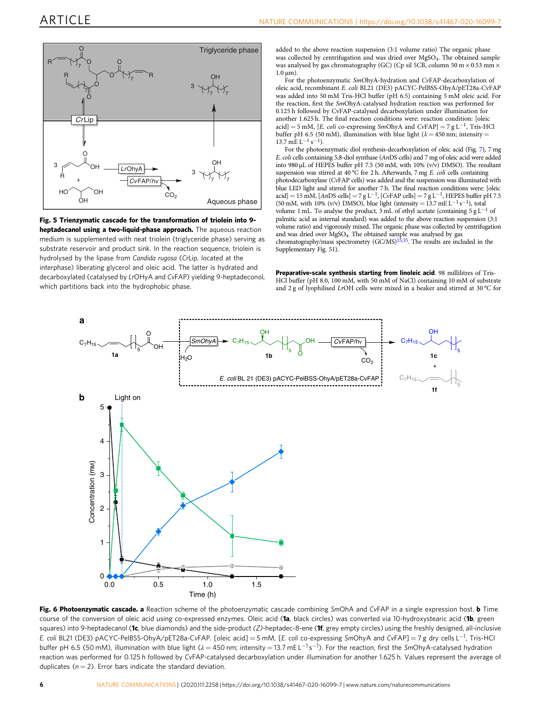<span id="page-5-0"></span>![](_page_5_Figure_2.jpeg)

Fig. 5 Trienzymatic cascade for the transformation of triolein into 9 heptadecanol using a two-liquid-phase approach. The aqueous reaction medium is supplemented with neat triolein (triglyceride phase) serving as substrate reservoir and product sink. In the reaction sequence, triolein is hydrolysed by the lipase from Candida rugosa (CrLip, located at the interphase) liberating glycerol and oleic acid. The latter is hydrated and decarboxylated (catalysed by LrOHyA and CvFAP) yielding 9-heptadeconol, which partitions back into the hydrophobic phase.

added to the above reaction suspension (3:1 volume ratio) The organic phase was collected by centrifugation and was dried over MgSO<sub>4</sub>. The obtained sample was analysed by gas chromatography (GC) (Cp sil 5CB, column 50 m  $\times$  0.53 mm  $\times$  $1.0 \,\mu m$ ).

For the photoenzymatic SmOhyA-hydration and CvFAP-decarboxylation of oleic acid, recombinant E. coli BL21 (DE3) pACYC-PelBSS-OhyA/pET28a-CvFAP was added into 50 mM Tris-HCl buffer (pH 6.5) containing 5 mM oleic acid. For the reaction, first the SmOhyA-catalysed hydration reaction was performed for 0.125 h followed by CvFAP-catalysed decarboxylation under illumination for another 1.625 h. The final reaction conditions were: reaction condition: [oleic acid] = 5 mM, [E. coli co-expressing SmOhyA and CvFAP] = 7 g L<sup>-1</sup>, Tris-HCl buffer pH 6.5 (50 mM), illumination with blue light ( $\lambda = 450$  nm; intensity =  $13.7 \text{ m} \text{E} \text{L}^{-1} \text{ s}^{-1}$ ).

For the photoenzymatic diol synthesis-decarboxylation of oleic acid (Fig. [7](#page-6-0)), 7 mg E. coli cells containing 5,8-diol synthase (AnDS cells) and 7 mg of oleic acid were added into 980  $\mu$ L of HEPES buffer pH 7.5 (50 mM, with 10% (v/v) DMSO). The resultant suspension was stirred at 40 °C for 2 h. Afterwards, 7 mg E. coli cells containing photodecarboxylase (CvFAP cells) was added and the suspension was illuminated with blue LED light and stirred for another 7 h. The final reaction conditions were: [oleic acid] = 15 mM, [AnDS cells] = 7 gL<sup>-1</sup>, [CvFAP cells] = 7 gL<sup>-1</sup>, HEPES buffer pH 7.5 (50 mM, with 10% (v/v) DMSO), blue light (intensity = 13.7 mE L<sup>-1</sup> s<sup>-1</sup>), total volume 1 mL. To analyse the product, 3 mL of ethyl acetate (containing 5 g L−<sup>1</sup> of palmitic acid as internal standard) was added to the above reaction suspension (3:1 volume ratio) and vigorously mixed. The organic phase was collected by centrifugation and was dried over MgSO<sub>4</sub>. The obtained sample was analysed by gas<br>chromatography/mass spectrometry (GC/MS)<sup>15,[35](#page-7-0)</sup>. The results are included in the Supplementary Fig. 51).

Preparative-scale synthesis starting from linoleic acid. 98 millilitres of Tris-HCl buffer (pH 8.0, 100 mM, with 50 mM of NaCl) containing 10 mM of substrate and 2 g of lyophilised LrOH cells were mixed in a beaker and stirred at 30 °C for

![](_page_5_Figure_8.jpeg)

Fig. 6 Photoenzymatic cascade. a Reaction scheme of the photoenzymatic cascade combining SmOhA and CvFAP in a single expression host. b Time course of the conversion of oleic acid using co-expressed enzymes. Oleic acid (1a, black circles) was converted via 10-hydroxystearic acid (1b, green squares) into 9-heptadecanol (1c, blue diamonds) and the side-product (Z)-heptadec-8-ene (1f, grey empty circles) using the freshly designed, all-inclusive E. coli BL21 (DE3) pACYC-PelBSS-OhyA/pET28a-CvFAP. [oleic acid] = 5 mM, [E. coli co-expressing SmOhyA and CvFAP] = 7 g dry cells L−<sup>1</sup> , Tris-HCl buffer pH 6.5 (50 mM), illumination with blue light ( $\lambda = 450$  nm; intensity = 13.7 mE L<sup>-1</sup>s<sup>-1</sup>). For the reaction, first the SmOhyA-catalysed hydration reaction was performed for 0.125 h followed by CvFAP-catalysed decarboxylation under illumination for another 1.625 h. Values represent the average of duplicates ( $n = 2$ ). Error bars indicate the standard deviation.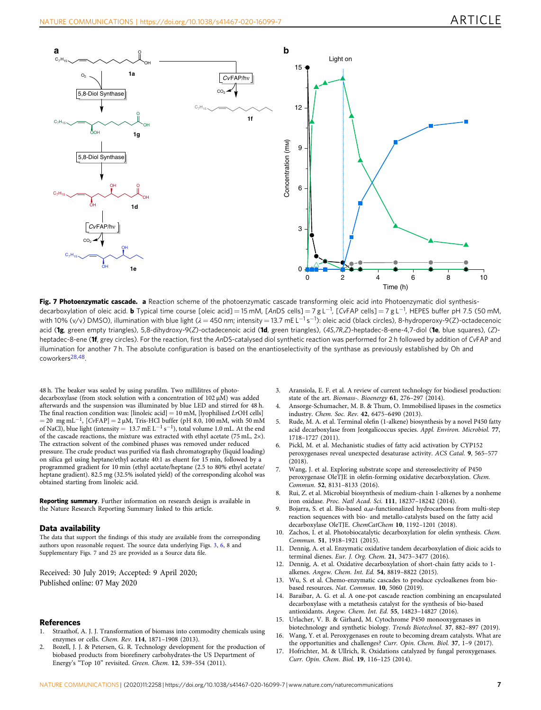<span id="page-6-0"></span>![](_page_6_Figure_2.jpeg)

Fig. 7 Photoenzymatic cascade. a Reaction scheme of the photoenzymatic cascade transforming oleic acid into Photoenzymatic diol synthesisdecarboxylation of oleic acid. **b** Typical time course [oleic acid] = 15 mM, [AnDS cells] = 7 g L<sup>−1</sup>, [CvFAP cells] = 7 g L<sup>−1</sup>, HEPES buffer pH 7.5 (50 mM, with 10% (v/v) DMSO), illumination with blue light ( $\lambda$  = 450 nm; intensity = 13.7 mE L<sup>−1</sup> s<sup>−1</sup>): oleic acid (black circles), 8-hydroperoxy-9(Z)-octadecenoic acid (1g, green empty triangles), 5,8-dihydroxy-9(Z)-octadecenoic acid (1d, green triangles), (4S,7R,Z)-heptadec-8-ene-4,7-diol (1e, blue squares), (Z)heptadec-8-ene (1f, grey circles). For the reaction, first the AnDS-catalysed diol synthetic reaction was performed for 2 h followed by addition of CvFAP and illumination for another 7 h. The absolute configuration is based on the enantioselectivity of the synthase as previously established by Oh and coworkers[28,48](#page-7-0).

48 h. The beaker was sealed by using parafilm. Two millilitres of photodecarboxylase (from stock solution with a concentration of 102 µM) was added afterwards and the suspension was illuminated by blue LED and stirred for 48 h. The final reaction condition was: [linoleic acid] =  $10 \text{ mM}$ , [lyophilised LrOH cells]  $= 20$  mg mL<sup>-1</sup>, [CvFAP] = 2 μM, Tris-HCl buffer (pH 8.0, 100 mM, with 50 mM of NaCl), blue light (intensity =  $13.7 \text{ mE L}^{-1} \text{ s}^{-1}$ ), total volume 1.0 mL. At the end of the cascade reactions, the mixture was extracted with ethyl acetate (75 mL, 2×). The extraction solvent of the combined phases was removed under reduced pressure. The crude product was purified via flash chromatography (liquid loading) on silica gel using heptane/ethyl acetate 40:1 as eluent for 15 min, followed by a programmed gradient for 10 min (ethyl acetate/heptane (2.5 to 80% ethyl acetate/ heptane gradient). 82.5 mg (32.5% isolated yield) of the corresponding alcohol was obtained starting from linoleic acid.

Reporting summary. Further information on research design is available in the Nature Research Reporting Summary linked to this article.

#### Data availability

The data that support the findings of this study are available from the corresponding authors upon reasonable request. The source data underlying Figs. [3,](#page-3-0) [6,](#page-5-0) 8 and Supplementary Figs. 7 and 25 are provided as a Source data file.

Received: 30 July 2019; Accepted: 9 April 2020; Published online: 07 May 2020

### **References**

- 1. Straathof, A. J. J. Transformation of biomass into commodity chemicals using enzymes or cells. Chem. Rev. 114, 1871–1908 (2013).
- 2. Bozell, J. J. & Petersen, G. R. Technology development for the production of biobased products from biorefinery carbohydrates-the US Department of Energy's "Top 10" revisited. Green. Chem. 12, 539–554 (2011).
- Aransiola, E. F. et al. A review of current technology for biodiesel production: state of the art. Biomass-. Bioenergy 61, 276–297 (2014).
- 4. Ansorge-Schumacher, M. B. & Thum, O. Immobilised lipases in the cosmetics industry. Chem. Soc. Rev. 42, 6475–6490 (2013).
- 5. Rude, M. A. et al. Terminal olefin (1-alkene) biosynthesis by a novel P450 fatty acid decarboxylase from Jeotgalicoccus species. Appl. Environ. Microbiol. 77, 1718–1727 (2011).
- 6. Pickl, M. et al. Mechanistic studies of fatty acid activation by CYP152 peroxygenases reveal unexpected desaturase activity. ACS Catal. 9, 565–577 (2018).
- 7. Wang, J. et al. Exploring substrate scope and stereoselectivity of P450 peroxygenase OleTJE in olefin-forming oxidative decarboxylation. Chem. Commun. 52, 8131–8133 (2016).
- 8. Rui, Z. et al. Microbial biosynthesis of medium-chain 1-alkenes by a nonheme iron oxidase. Proc. Natl Acad. Sci. 111, 18237–18242 (2014).
- 9. Bojarra, S. et al. Bio-based α,ω-functionalized hydrocarbons from multi-step reaction sequences with bio- and metallo-catalysts based on the fatty acid decarboxylase OleTJE. ChemCatChem 10, 1192–1201 (2018).
- 10. Zachos, I. et al. Photobiocatalytic decarboxylation for olefin synthesis. Chem. Commun. 51, 1918–1921 (2015).
- 11. Dennig, A. et al. Enzymatic oxidative tandem decarboxylation of dioic acids to terminal dienes. Eur. J. Org. Chem. 21, 3473–3477 (2016).
- 12. Dennig, A. et al. Oxidative decarboxylation of short-chain fatty acids to 1 alkenes. Angew. Chem. Int. Ed. 54, 8819–8822 (2015).
- 13. Wu, S. et al. Chemo-enzymatic cascades to produce cycloalkenes from biobased resources. Nat. Commun. 10, 5060 (2019).
- 14. Baraibar, A. G. et al. A one-pot cascade reaction combining an encapsulated decarboxylase with a metathesis catalyst for the synthesis of bio-based antioxidants. Angew. Chem. Int. Ed. 55, 14823–14827 (2016).
- 15. Urlacher, V. B. & Girhard, M. Cytochrome P450 monooxygenases in biotechnology and synthetic biology. Trends Biotechnol. 37, 882–897 (2019).
- 16. Wang, Y. et al. Peroxygenases en route to becoming dream catalysts. What are the opportunities and challenges? Curr. Opin. Chem. Biol. 37, 1–9 (2017).
- 17. Hofrichter, M. & Ullrich, R. Oxidations catalyzed by fungal peroxygenases. Curr. Opin. Chem. Biol. 19, 116–125 (2014).